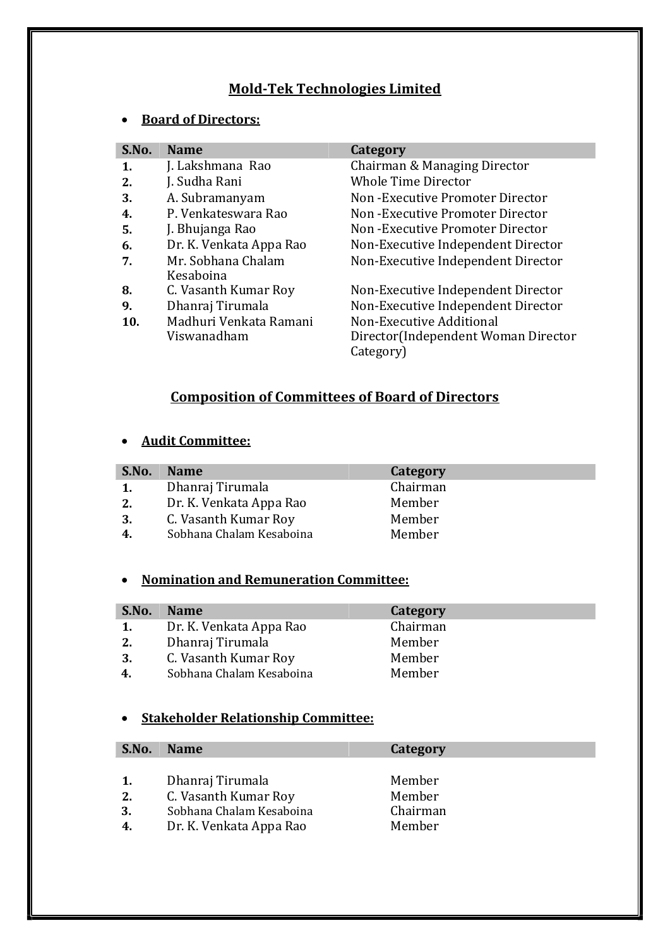## **Mold-Tek Technologies Limited**

### **Board of Directors:**

|                         | Category                            |
|-------------------------|-------------------------------------|
| J. Lakshmana Rao        | Chairman & Managing Director        |
| J. Sudha Rani           | <b>Whole Time Director</b>          |
| A. Subramanyam          | Non-Executive Promoter Director     |
| P. Venkateswara Rao     | Non-Executive Promoter Director     |
| J. Bhujanga Rao         | Non-Executive Promoter Director     |
| Dr. K. Venkata Appa Rao | Non-Executive Independent Director  |
| Mr. Sobhana Chalam      | Non-Executive Independent Director  |
| Kesaboina               |                                     |
| C. Vasanth Kumar Roy    | Non-Executive Independent Director  |
| Dhanraj Tirumala        | Non-Executive Independent Director  |
| Madhuri Venkata Ramani  | Non-Executive Additional            |
| Viswanadham             | Director(Independent Woman Director |
|                         | Category)                           |
|                         | <b>Name</b>                         |

# **Composition of Committees of Board of Directors**

#### **Audit Committee:**

| S.No.                   | <b>Name</b>              | Category |
|-------------------------|--------------------------|----------|
| $\mathbf{1}$ .          | Dhanraj Tirumala         | Chairman |
| 2.                      | Dr. K. Venkata Appa Rao  | Member   |
| 3.                      | C. Vasanth Kumar Roy     | Member   |
| $\overline{\mathbf{4}}$ | Sobhana Chalam Kesaboina | Member   |

## **Nomination and Remuneration Committee:**

| S.No. | <b>Name</b>              | Category |
|-------|--------------------------|----------|
| 1.    | Dr. K. Venkata Appa Rao  | Chairman |
| 2.    | Dhanraj Tirumala         | Member   |
| 3.    | C. Vasanth Kumar Roy     | Member   |
|       | Sobhana Chalam Kesaboina | Member   |
|       |                          |          |

## **Stakeholder Relationship Committee:**

| S.No.          | <b>Name</b>                                                                                     | Category                               |  |
|----------------|-------------------------------------------------------------------------------------------------|----------------------------------------|--|
| 2.<br>3.<br>4. | Dhanraj Tirumala<br>C. Vasanth Kumar Roy<br>Sobhana Chalam Kesaboina<br>Dr. K. Venkata Appa Rao | Member<br>Member<br>Chairman<br>Member |  |